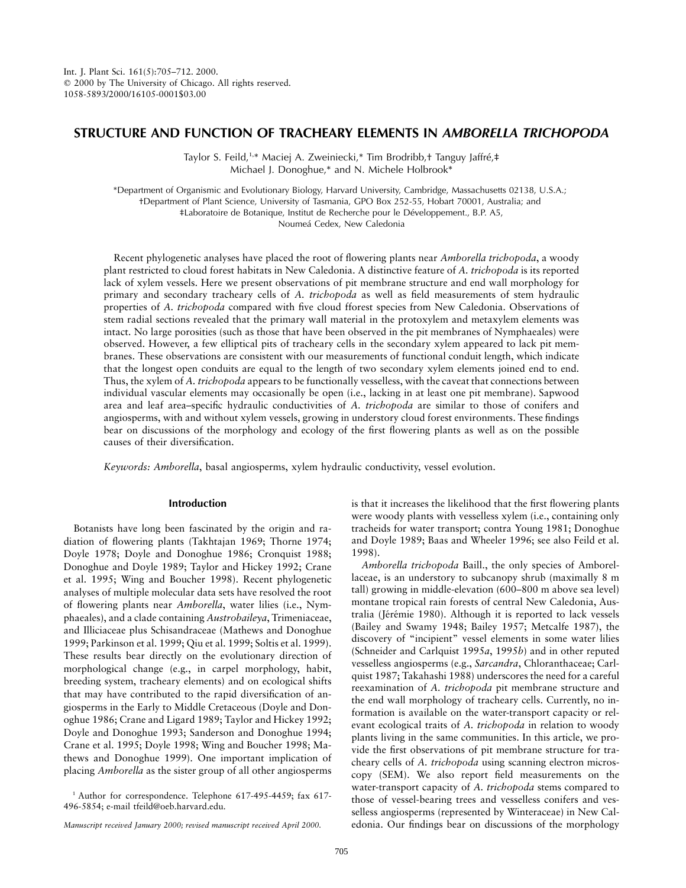# **STRUCTURE AND FUNCTION OF TRACHEARY ELEMENTS IN** *AMBORELLA TRICHOPODA*

Taylor S. Feild,<sup>1,\*</sup> Maciej A. Zweiniecki,\* Tim Brodribb,† Tanguy Jaffré,‡ Michael J. Donoghue,\* and N. Michele Holbrook\*

\*Department of Organismic and Evolutionary Biology, Harvard University, Cambridge, Massachusetts 02138, U.S.A.; †Department of Plant Science, University of Tasmania, GPO Box 252-55, Hobart 70001, Australia; and ‡Laboratoire de Botanique, Institut de Recherche pour le De´veloppement., B.P. A5, Noumeá Cedex, New Caledonia

Recent phylogenetic analyses have placed the root of flowering plants near *Amborella trichopoda*, a woody plant restricted to cloud forest habitats in New Caledonia. A distinctive feature of *A. trichopoda* is its reported lack of xylem vessels. Here we present observations of pit membrane structure and end wall morphology for primary and secondary tracheary cells of *A. trichopoda* as well as field measurements of stem hydraulic properties of *A. trichopoda* compared with five cloud fforest species from New Caledonia. Observations of stem radial sections revealed that the primary wall material in the protoxylem and metaxylem elements was intact. No large porosities (such as those that have been observed in the pit membranes of Nymphaeales) were observed. However, a few elliptical pits of tracheary cells in the secondary xylem appeared to lack pit membranes. These observations are consistent with our measurements of functional conduit length, which indicate that the longest open conduits are equal to the length of two secondary xylem elements joined end to end. Thus, the xylem of *A. trichopoda* appears to be functionally vesselless, with the caveat that connections between individual vascular elements may occasionally be open (i.e., lacking in at least one pit membrane). Sapwood area and leaf area–specific hydraulic conductivities of *A. trichopoda* are similar to those of conifers and angiosperms, with and without xylem vessels, growing in understory cloud forest environments. These findings bear on discussions of the morphology and ecology of the first flowering plants as well as on the possible causes of their diversification.

*Keywords: Amborella*, basal angiosperms, xylem hydraulic conductivity, vessel evolution.

## **Introduction**

Botanists have long been fascinated by the origin and radiation of flowering plants (Takhtajan 1969; Thorne 1974; Doyle 1978; Doyle and Donoghue 1986; Cronquist 1988; Donoghue and Doyle 1989; Taylor and Hickey 1992; Crane et al. 1995; Wing and Boucher 1998). Recent phylogenetic analyses of multiple molecular data sets have resolved the root of flowering plants near *Amborella*, water lilies (i.e., Nymphaeales), and a clade containing *Austrobaileya*, Trimeniaceae, and Illiciaceae plus Schisandraceae (Mathews and Donoghue 1999; Parkinson et al. 1999; Qiu et al. 1999; Soltis et al. 1999). These results bear directly on the evolutionary direction of morphological change (e.g., in carpel morphology, habit, breeding system, tracheary elements) and on ecological shifts that may have contributed to the rapid diversification of angiosperms in the Early to Middle Cretaceous (Doyle and Donoghue 1986; Crane and Ligard 1989; Taylor and Hickey 1992; Doyle and Donoghue 1993; Sanderson and Donoghue 1994; Crane et al. 1995; Doyle 1998; Wing and Boucher 1998; Mathews and Donoghue 1999). One important implication of placing *Amborella* as the sister group of all other angiosperms

<sup>1</sup> Author for correspondence. Telephone 617-495-4459; fax 617-496-5854; e-mail tfeild@oeb.harvard.edu.

*Manuscript received January 2000; revised manuscript received April 2000.*

is that it increases the likelihood that the first flowering plants were woody plants with vesselless xylem (i.e., containing only tracheids for water transport; contra Young 1981; Donoghue and Doyle 1989; Baas and Wheeler 1996; see also Feild et al. 1998).

*Amborella trichopoda* Baill., the only species of Amborellaceae, is an understory to subcanopy shrub (maximally 8 m tall) growing in middle-elevation (600–800 m above sea level) montane tropical rain forests of central New Caledonia, Australia (Jérémie 1980). Although it is reported to lack vessels (Bailey and Swamy 1948; Bailey 1957; Metcalfe 1987), the discovery of "incipient" vessel elements in some water lilies (Schneider and Carlquist 1995*a*, 1995*b*) and in other reputed vesselless angiosperms (e.g., *Sarcandra*, Chloranthaceae; Carlquist 1987; Takahashi 1988) underscores the need for a careful reexamination of *A. trichopoda* pit membrane structure and the end wall morphology of tracheary cells. Currently, no information is available on the water-transport capacity or relevant ecological traits of *A. trichopoda* in relation to woody plants living in the same communities. In this article, we provide the first observations of pit membrane structure for tracheary cells of *A. trichopoda* using scanning electron microscopy (SEM). We also report field measurements on the water-transport capacity of *A. trichopoda* stems compared to those of vessel-bearing trees and vesselless conifers and vesselless angiosperms (represented by Winteraceae) in New Caledonia. Our findings bear on discussions of the morphology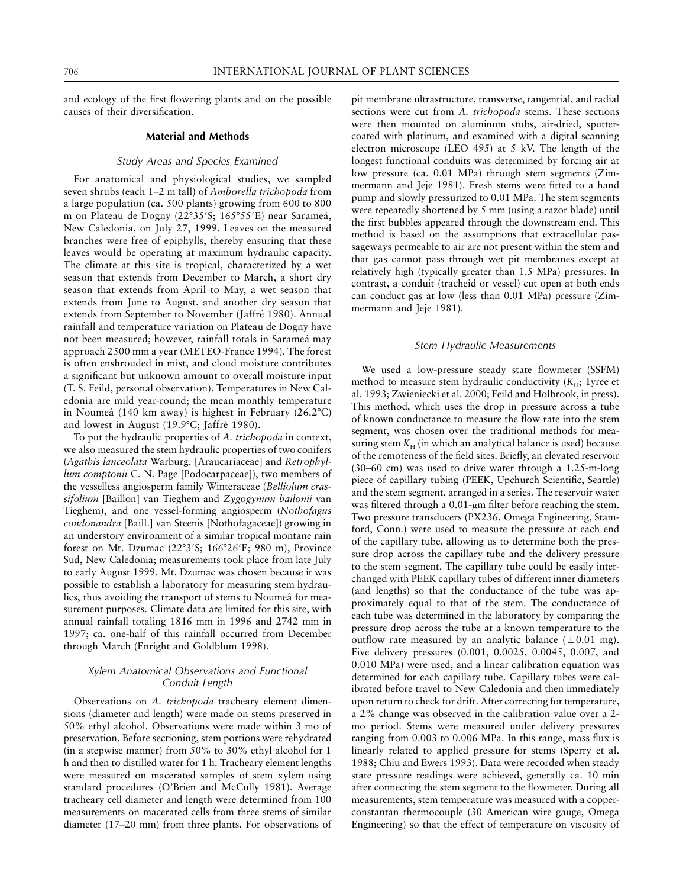and ecology of the first flowering plants and on the possible causes of their diversification.

## **Material and Methods**

### *Study Areas and Species Examined*

For anatomical and physiological studies, we sampled seven shrubs (each 1–2 m tall) of *Amborella trichopoda* from a large population (ca. 500 plants) growing from 600 to 800 m on Plateau de Dogny (22°35'S; 165°55'E) near Sarameá, New Caledonia, on July 27, 1999. Leaves on the measured branches were free of epiphylls, thereby ensuring that these leaves would be operating at maximum hydraulic capacity. The climate at this site is tropical, characterized by a wet season that extends from December to March, a short dry season that extends from April to May, a wet season that extends from June to August, and another dry season that extends from September to November (Jaffré 1980). Annual rainfall and temperature variation on Plateau de Dogny have not been measured; however, rainfall totals in Sarameá may approach 2500 mm a year (METEO-France 1994). The forest is often enshrouded in mist, and cloud moisture contributes a significant but unknown amount to overall moisture input (T. S. Feild, personal observation). Temperatures in New Caledonia are mild year-round; the mean monthly temperature in Noumeá (140 km away) is highest in February (26.2°C) and lowest in August (19.9°C; Jaffré 1980).

To put the hydraulic properties of *A. trichopoda* in context, we also measured the stem hydraulic properties of two conifers (*Agathis lanceolata* Warburg. [Araucariaceae] and *Retrophyllum comptonii* C. N. Page [Podocarpaceae]), two members of the vesselless angiosperm family Winteraceae (*Belliolum crassifolium* [Baillon] van Tieghem and *Zygogynum bailonii* van Tieghem), and one vessel-forming angiosperm (*Nothofagus condonandra* [Baill.] van Steenis [Nothofagaceae]) growing in an understory environment of a similar tropical montane rain forest on Mt. Dzumac (22°3'S; 166°26'E; 980 m), Province Sud, New Caledonia; measurements took place from late July to early August 1999. Mt. Dzumac was chosen because it was possible to establish a laboratory for measuring stem hydraulics, thus avoiding the transport of stems to Noumeá for measurement purposes. Climate data are limited for this site, with annual rainfall totaling 1816 mm in 1996 and 2742 mm in 1997; ca. one-half of this rainfall occurred from December through March (Enright and Goldblum 1998).

# *Xylem Anatomical Observations and Functional Conduit Length*

Observations on *A. trichopoda* tracheary element dimensions (diameter and length) were made on stems preserved in 50% ethyl alcohol. Observations were made within 3 mo of preservation. Before sectioning, stem portions were rehydrated (in a stepwise manner) from 50% to 30% ethyl alcohol for 1 h and then to distilled water for 1 h. Tracheary element lengths were measured on macerated samples of stem xylem using standard procedures (O'Brien and McCully 1981). Average tracheary cell diameter and length were determined from 100 measurements on macerated cells from three stems of similar diameter (17–20 mm) from three plants. For observations of pit membrane ultrastructure, transverse, tangential, and radial sections were cut from *A. trichopoda* stems. These sections were then mounted on aluminum stubs, air-dried, sputtercoated with platinum, and examined with a digital scanning electron microscope (LEO 495) at 5 kV. The length of the longest functional conduits was determined by forcing air at low pressure (ca. 0.01 MPa) through stem segments (Zimmermann and Jeje 1981). Fresh stems were fitted to a hand pump and slowly pressurized to 0.01 MPa. The stem segments were repeatedly shortened by 5 mm (using a razor blade) until the first bubbles appeared through the downstream end. This method is based on the assumptions that extracellular passageways permeable to air are not present within the stem and that gas cannot pass through wet pit membranes except at relatively high (typically greater than 1.5 MPa) pressures. In contrast, a conduit (tracheid or vessel) cut open at both ends can conduct gas at low (less than 0.01 MPa) pressure (Zimmermann and Jeje 1981).

#### *Stem Hydraulic Measurements*

We used a low-pressure steady state flowmeter (SSFM) method to measure stem hydraulic conductivity (K<sub>H</sub>; Tyree et al. 1993; Zwieniecki et al. 2000; Feild and Holbrook, in press). This method, which uses the drop in pressure across a tube of known conductance to measure the flow rate into the stem segment, was chosen over the traditional methods for measuring stem  $K_H$  (in which an analytical balance is used) because of the remoteness of the field sites. Briefly, an elevated reservoir (30–60 cm) was used to drive water through a 1.25-m-long piece of capillary tubing (PEEK, Upchurch Scientific, Seattle) and the stem segment, arranged in a series. The reservoir water was filtered through a  $0.01$ - $\mu$ m filter before reaching the stem. Two pressure transducers (PX236, Omega Engineering, Stamford, Conn.) were used to measure the pressure at each end of the capillary tube, allowing us to determine both the pressure drop across the capillary tube and the delivery pressure to the stem segment. The capillary tube could be easily interchanged with PEEK capillary tubes of different inner diameters (and lengths) so that the conductance of the tube was approximately equal to that of the stem. The conductance of each tube was determined in the laboratory by comparing the pressure drop across the tube at a known temperature to the outflow rate measured by an analytic balance  $(\pm 0.01 \text{ mg})$ . Five delivery pressures (0.001, 0.0025, 0.0045, 0.007, and 0.010 MPa) were used, and a linear calibration equation was determined for each capillary tube. Capillary tubes were calibrated before travel to New Caledonia and then immediately upon return to check for drift. After correcting for temperature, a 2% change was observed in the calibration value over a 2 mo period. Stems were measured under delivery pressures ranging from 0.003 to 0.006 MPa. In this range, mass flux is linearly related to applied pressure for stems (Sperry et al. 1988; Chiu and Ewers 1993). Data were recorded when steady state pressure readings were achieved, generally ca. 10 min after connecting the stem segment to the flowmeter. During all measurements, stem temperature was measured with a copperconstantan thermocouple (30 American wire gauge, Omega Engineering) so that the effect of temperature on viscosity of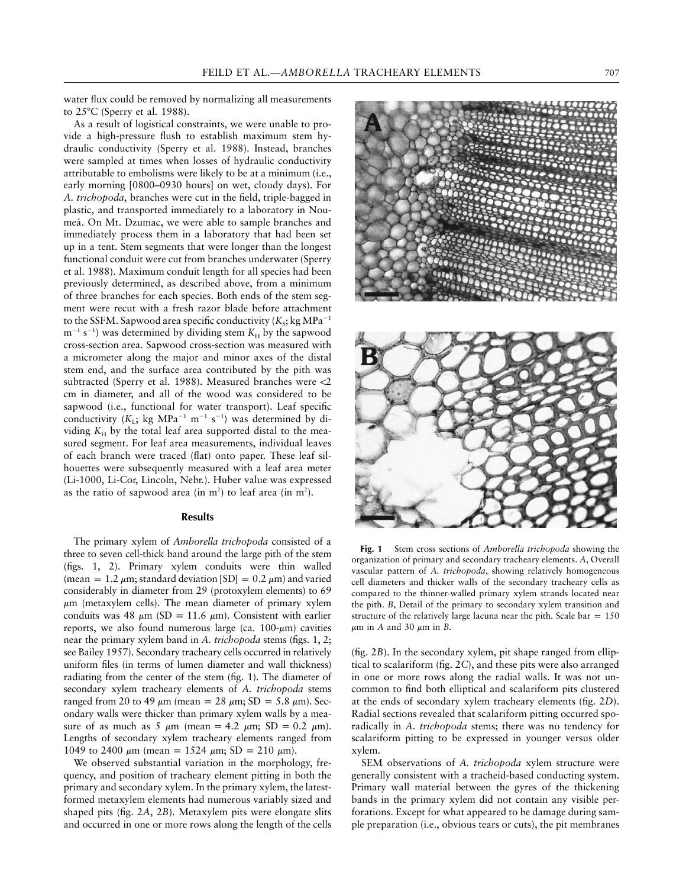water flux could be removed by normalizing all measurements to  $25^{\circ}$ C (Sperry et al. 1988).

As a result of logistical constraints, we were unable to provide a high-pressure flush to establish maximum stem hydraulic conductivity (Sperry et al. 1988). Instead, branches were sampled at times when losses of hydraulic conductivity attributable to embolisms were likely to be at a minimum (i.e., early morning [0800–0930 hours] on wet, cloudy days). For *A. trichopoda*, branches were cut in the field, triple-bagged in plastic, and transported immediately to a laboratory in Noumeá. On Mt. Dzumac, we were able to sample branches and immediately process them in a laboratory that had been set up in a tent. Stem segments that were longer than the longest functional conduit were cut from branches underwater (Sperry et al. 1988). Maximum conduit length for all species had been previously determined, as described above, from a minimum of three branches for each species. Both ends of the stem segment were recut with a fresh razor blade before attachment to the SSFM. Sapwood area specific conductivity  $(K_s; \text{kg MPa}^{-1})$  $m^{-1}$  s<sup>-1</sup>) was determined by dividing stem  $K_H$  by the sapwood cross-section area. Sapwood cross-section was measured with a micrometer along the major and minor axes of the distal stem end, and the surface area contributed by the pith was subtracted (Sperry et al. 1988). Measured branches were  $<$ 2 cm in diameter, and all of the wood was considered to be sapwood (i.e., functional for water transport). Leaf specific conductivity  $(K_L; \text{ kg } MPa^{-1} \text{ m}^{-1} \text{ s}^{-1})$  was determined by dividing  $K_H$  by the total leaf area supported distal to the measured segment. For leaf area measurements, individual leaves of each branch were traced (flat) onto paper. These leaf silhouettes were subsequently measured with a leaf area meter (Li-1000, Li-Cor, Lincoln, Nebr.). Huber value was expressed as the ratio of sapwood area (in  $m^2$ ) to leaf area (in  $m^2$ ).

# **Results**

The primary xylem of *Amborella trichopoda* consisted of a three to seven cell-thick band around the large pith of the stem (figs. 1, 2). Primary xylem conduits were thin walled (mean = 1.2  $\mu$ m; standard deviation [SD] = 0.2  $\mu$ m) and varied considerably in diameter from 29 (protoxylem elements) to 69  $\mu$ m (metaxylem cells). The mean diameter of primary xylem conduits was 48  $\mu$ m (SD = 11.6  $\mu$ m). Consistent with earlier reports, we also found numerous large (ca.  $100-\mu m$ ) cavities near the primary xylem band in *A. trichopoda* stems (figs. 1, 2; see Bailey 1957). Secondary tracheary cells occurred in relatively uniform files (in terms of lumen diameter and wall thickness) radiating from the center of the stem (fig. 1). The diameter of secondary xylem tracheary elements of *A. trichopoda* stems ranged from 20 to 49  $\mu$ m (mean = 28  $\mu$ m; SD = 5.8  $\mu$ m). Secondary walls were thicker than primary xylem walls by a measure of as much as 5  $\mu$ m (mean = 4.2  $\mu$ m; SD = 0.2  $\mu$ m). Lengths of secondary xylem tracheary elements ranged from 1049 to 2400  $\mu$ m (mean = 1524  $\mu$ m; SD = 210  $\mu$ m).

We observed substantial variation in the morphology, frequency, and position of tracheary element pitting in both the primary and secondary xylem. In the primary xylem, the latestformed metaxylem elements had numerous variably sized and shaped pits (fig. 2*A*, 2*B*). Metaxylem pits were elongate slits and occurred in one or more rows along the length of the cells





**Fig. 1** Stem cross sections of *Amborella trichopoda* showing the organization of primary and secondary tracheary elements. *A*, Overall vascular pattern of *A. trichopoda*, showing relatively homogeneous cell diameters and thicker walls of the secondary tracheary cells as compared to the thinner-walled primary xylem strands located near the pith. *B*, Detail of the primary to secondary xylem transition and structure of the relatively large lacuna near the pith. Scale bar  $= 150$  $\mu$ m in *A* and 30  $\mu$ m in *B*.

(fig. 2*B*). In the secondary xylem, pit shape ranged from elliptical to scalariform (fig. 2*C*), and these pits were also arranged in one or more rows along the radial walls. It was not uncommon to find both elliptical and scalariform pits clustered at the ends of secondary xylem tracheary elements (fig. 2*D*). Radial sections revealed that scalariform pitting occurred sporadically in *A. trichopoda* stems; there was no tendency for scalariform pitting to be expressed in younger versus older xylem.

SEM observations of *A. trichopoda* xylem structure were generally consistent with a tracheid-based conducting system. Primary wall material between the gyres of the thickening bands in the primary xylem did not contain any visible perforations. Except for what appeared to be damage during sample preparation (i.e., obvious tears or cuts), the pit membranes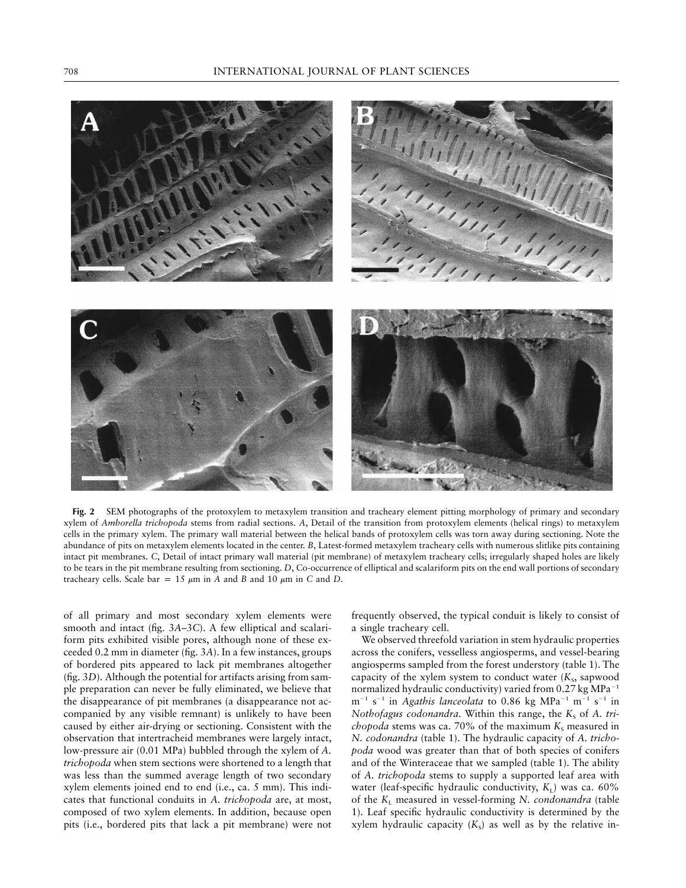

**Fig. 2** SEM photographs of the protoxylem to metaxylem transition and tracheary element pitting morphology of primary and secondary xylem of *Amborella trichopoda* stems from radial sections. *A*, Detail of the transition from protoxylem elements (helical rings) to metaxylem cells in the primary xylem. The primary wall material between the helical bands of protoxylem cells was torn away during sectioning. Note the abundance of pits on metaxylem elements located in the center. *B*, Latest-formed metaxylem tracheary cells with numerous slitlike pits containing intact pit membranes. *C*, Detail of intact primary wall material (pit membrane) of metaxylem tracheary cells; irregularly shaped holes are likely to be tears in the pit membrane resulting from sectioning. *D*, Co-occurrence of elliptical and scalariform pits on the end wall portions of secondary tracheary cells. Scale bar = 15  $\mu$ m in *A* and *B* and 10  $\mu$ m in *C* and *D*.

of all primary and most secondary xylem elements were smooth and intact (fig. 3*A*–3*C*). A few elliptical and scalariform pits exhibited visible pores, although none of these exceeded 0.2 mm in diameter (fig. 3*A*). In a few instances, groups of bordered pits appeared to lack pit membranes altogether (fig. 3*D*). Although the potential for artifacts arising from sample preparation can never be fully eliminated, we believe that the disappearance of pit membranes (a disappearance not accompanied by any visible remnant) is unlikely to have been caused by either air-drying or sectioning. Consistent with the observation that intertracheid membranes were largely intact, low-pressure air (0.01 MPa) bubbled through the xylem of *A. trichopoda* when stem sections were shortened to a length that was less than the summed average length of two secondary xylem elements joined end to end (i.e., ca. 5 mm). This indicates that functional conduits in *A. trichopoda* are, at most, composed of two xylem elements. In addition, because open pits (i.e., bordered pits that lack a pit membrane) were not

frequently observed, the typical conduit is likely to consist of a single tracheary cell.

We observed threefold variation in stem hydraulic properties across the conifers, vesselless angiosperms, and vessel-bearing angiosperms sampled from the forest understory (table 1). The capacity of the xylem system to conduct water  $(K<sub>s</sub>,$  sapwood normalized hydraulic conductivity) varied from  $0.27$  kg MPa<sup>-1</sup>  $m^{-1}$  s<sup>-1</sup> in *Agathis lanceolata* to 0.86 kg MPa<sup>-1</sup> m<sup>-1</sup> s<sup>-1</sup> in *Nothofagus codonandra*. Within this range, the *K*<sub>s</sub> of *A. trichopoda* stems was ca. 70% of the maximum  $K_s$  measured in *N. codonandra* (table 1). The hydraulic capacity of *A. trichopoda* wood was greater than that of both species of conifers and of the Winteraceae that we sampled (table 1). The ability of *A. trichopoda* stems to supply a supported leaf area with water (leaf-specific hydraulic conductivity,  $K<sub>1</sub>$ ) was ca. 60% of the  $K_{\text{L}}$  measured in vessel-forming *N. condonandra* (table 1). Leaf specific hydraulic conductivity is determined by the xylem hydraulic capacity  $(K<sub>s</sub>)$  as well as by the relative in-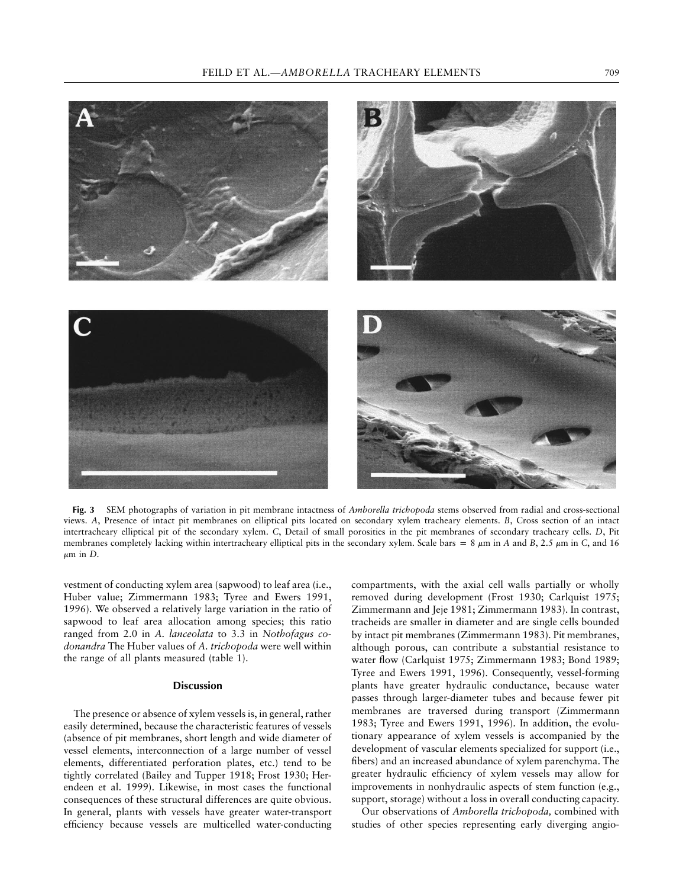

**Fig. 3** SEM photographs of variation in pit membrane intactness of *Amborella trichopoda* stems observed from radial and cross-sectional views. *A*, Presence of intact pit membranes on elliptical pits located on secondary xylem tracheary elements. *B*, Cross section of an intact intertracheary elliptical pit of the secondary xylem. *C*, Detail of small porosities in the pit membranes of secondary tracheary cells. *D*, Pit membranes completely lacking within intertracheary elliptical pits in the secondary xylem. Scale bars = 8  $\mu$ m in *A* and *B*, 2.5  $\mu$ m in *C*, and 16  $\mu$ m in *D*.

vestment of conducting xylem area (sapwood) to leaf area (i.e., Huber value; Zimmermann 1983; Tyree and Ewers 1991, 1996). We observed a relatively large variation in the ratio of sapwood to leaf area allocation among species; this ratio ranged from 2.0 in *A. lanceolata* to 3.3 in *Nothofagus codonandra* The Huber values of *A. trichopoda* were well within the range of all plants measured (table 1).

## **Discussion**

The presence or absence of xylem vessels is, in general, rather easily determined, because the characteristic features of vessels (absence of pit membranes, short length and wide diameter of vessel elements, interconnection of a large number of vessel elements, differentiated perforation plates, etc.) tend to be tightly correlated (Bailey and Tupper 1918; Frost 1930; Herendeen et al. 1999). Likewise, in most cases the functional consequences of these structural differences are quite obvious. In general, plants with vessels have greater water-transport efficiency because vessels are multicelled water-conducting

compartments, with the axial cell walls partially or wholly removed during development (Frost 1930; Carlquist 1975; Zimmermann and Jeje 1981; Zimmermann 1983). In contrast, tracheids are smaller in diameter and are single cells bounded by intact pit membranes (Zimmermann 1983). Pit membranes, although porous, can contribute a substantial resistance to water flow (Carlquist 1975; Zimmermann 1983; Bond 1989; Tyree and Ewers 1991, 1996). Consequently, vessel-forming plants have greater hydraulic conductance, because water passes through larger-diameter tubes and because fewer pit membranes are traversed during transport (Zimmermann 1983; Tyree and Ewers 1991, 1996). In addition, the evolutionary appearance of xylem vessels is accompanied by the development of vascular elements specialized for support (i.e., fibers) and an increased abundance of xylem parenchyma. The greater hydraulic efficiency of xylem vessels may allow for improvements in nonhydraulic aspects of stem function (e.g., support, storage) without a loss in overall conducting capacity.

Our observations of *Amborella trichopoda,* combined with studies of other species representing early diverging angio-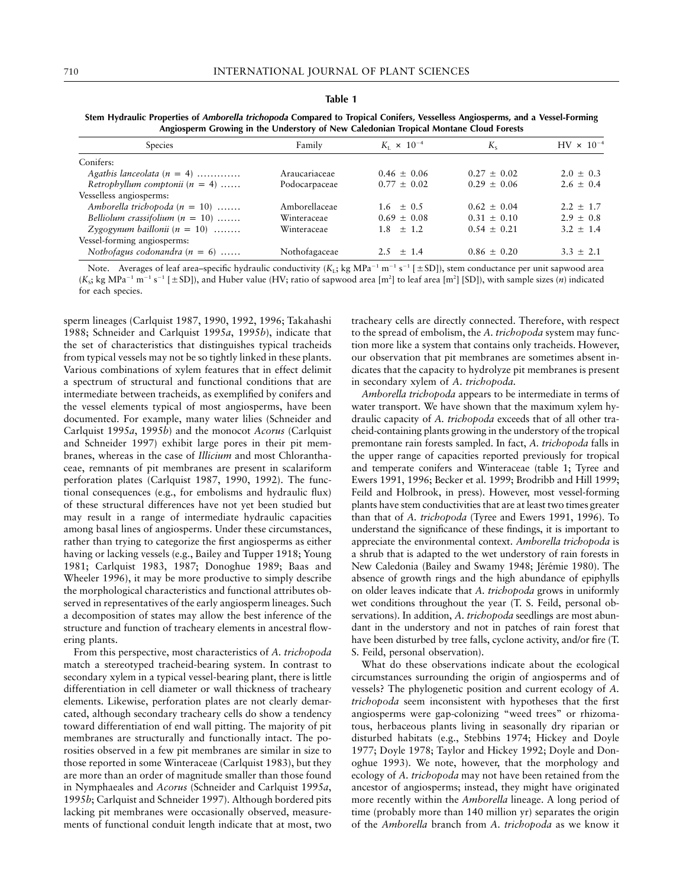#### **Table 1**

|  |  | Stem Hydraulic Properties of <i>Amborella trichopoda</i> Compared to Tropical Conifers, Vesselless Angiosperms, and a Vessel-Forming |  |  |  |
|--|--|--------------------------------------------------------------------------------------------------------------------------------------|--|--|--|
|  |  | Angiosperm Growing in the Understory of New Caledonian Tropical Montane Cloud Forests                                                |  |  |  |

| <b>Species</b>                    | Family        | $K_{\rm r} \times 10^{-4}$ | $K_{\rm c}$     | $HV \times 10^{-4}$ |
|-----------------------------------|---------------|----------------------------|-----------------|---------------------|
| Conifers:                         |               |                            |                 |                     |
| Agathis lanceolata $(n = 4)$      | Araucariaceae | $0.46 \pm 0.06$            | $0.27 \pm 0.02$ | $2.0 + 0.3$         |
| Retrophyllum comptonii $(n = 4)$  | Podocarpaceae | $0.77 + 0.02$              | $0.29 + 0.06$   | $2.6 \pm 0.4$       |
| Vesselless angiosperms:           |               |                            |                 |                     |
| Amborella trichopoda $(n = 10)$   | Amborellaceae | $1.6 + 0.5$                | $0.62 + 0.04$   | $2.2 + 1.7$         |
| Belliolum crassifolium $(n = 10)$ | Winteraceae   | $0.69 + 0.08$              | $0.31 + 0.10$   | $2.9 + 0.8$         |
| $Zygogynum baillonii (n = 10)$    | Winteraceae   | $1.8 + 1.2$                | $0.54 + 0.21$   | $3.2 + 1.4$         |
| Vessel-forming angiosperms:       |               |                            |                 |                     |
| Nothofagus codonandra $(n = 6)$   | Nothofagaceae | $2.5 + 1.4$                | $0.86 \pm 0.20$ | $3.3 + 2.1$         |

Note. Averages of leaf area–specific hydraulic conductivity ( $K_L$ ; kg MPa<sup>-1</sup> m<sup>-1</sup> s<sup>-1</sup> [ $\pm$ SD]), stem conductance per unit sapwood area  $(K<sub>s</sub>; kg MPa<sup>-1</sup> m<sup>-1</sup> s<sup>-1</sup> [ \pm SD],$  and Huber value (HV; ratio of sapwood area [m<sup>2</sup>] to leaf area [m<sup>2</sup>] [SD]), with sample sizes (*n*) indicated for each species.

sperm lineages (Carlquist 1987, 1990, 1992, 1996; Takahashi 1988; Schneider and Carlquist 1995*a*, 1995*b*), indicate that the set of characteristics that distinguishes typical tracheids from typical vessels may not be so tightly linked in these plants. Various combinations of xylem features that in effect delimit a spectrum of structural and functional conditions that are intermediate between tracheids, as exemplified by conifers and the vessel elements typical of most angiosperms, have been documented. For example, many water lilies (Schneider and Carlquist 1995*a*, 1995*b*) and the monocot *Acorus* (Carlquist and Schneider 1997) exhibit large pores in their pit membranes, whereas in the case of *Illicium* and most Chloranthaceae, remnants of pit membranes are present in scalariform perforation plates (Carlquist 1987, 1990, 1992). The functional consequences (e.g., for embolisms and hydraulic flux) of these structural differences have not yet been studied but may result in a range of intermediate hydraulic capacities among basal lines of angiosperms. Under these circumstances, rather than trying to categorize the first angiosperms as either having or lacking vessels (e.g., Bailey and Tupper 1918; Young 1981; Carlquist 1983, 1987; Donoghue 1989; Baas and Wheeler 1996), it may be more productive to simply describe the morphological characteristics and functional attributes observed in representatives of the early angiosperm lineages. Such a decomposition of states may allow the best inference of the structure and function of tracheary elements in ancestral flowering plants.

From this perspective, most characteristics of *A. trichopoda* match a stereotyped tracheid-bearing system. In contrast to secondary xylem in a typical vessel-bearing plant, there is little differentiation in cell diameter or wall thickness of tracheary elements. Likewise, perforation plates are not clearly demarcated, although secondary tracheary cells do show a tendency toward differentiation of end wall pitting. The majority of pit membranes are structurally and functionally intact. The porosities observed in a few pit membranes are similar in size to those reported in some Winteraceae (Carlquist 1983), but they are more than an order of magnitude smaller than those found in Nymphaeales and *Acorus* (Schneider and Carlquist 1995*a*, 1995*b*; Carlquist and Schneider 1997). Although bordered pits lacking pit membranes were occasionally observed, measurements of functional conduit length indicate that at most, two tracheary cells are directly connected. Therefore, with respect to the spread of embolism, the *A. trichopoda* system may function more like a system that contains only tracheids. However, our observation that pit membranes are sometimes absent indicates that the capacity to hydrolyze pit membranes is present in secondary xylem of *A*. *trichopoda.*

*Amborella trichopoda* appears to be intermediate in terms of water transport. We have shown that the maximum xylem hydraulic capacity of *A. trichopoda* exceeds that of all other tracheid-containing plants growing in the understory of the tropical premontane rain forests sampled. In fact, *A. trichopoda* falls in the upper range of capacities reported previously for tropical and temperate conifers and Winteraceae (table 1; Tyree and Ewers 1991, 1996; Becker et al. 1999; Brodribb and Hill 1999; Feild and Holbrook, in press). However, most vessel-forming plants have stem conductivities that are at least two times greater than that of *A. trichopoda* (Tyree and Ewers 1991, 1996). To understand the significance of these findings, it is important to appreciate the environmental context. *Amborella trichopoda* is a shrub that is adapted to the wet understory of rain forests in New Caledonia (Bailey and Swamy 1948; Jérémie 1980). The absence of growth rings and the high abundance of epiphylls on older leaves indicate that *A. trichopoda* grows in uniformly wet conditions throughout the year (T. S. Feild, personal observations). In addition, *A. trichopoda* seedlings are most abundant in the understory and not in patches of rain forest that have been disturbed by tree falls, cyclone activity, and/or fire (T. S. Feild, personal observation).

What do these observations indicate about the ecological circumstances surrounding the origin of angiosperms and of vessels? The phylogenetic position and current ecology of *A. trichopoda* seem inconsistent with hypotheses that the first angiosperms were gap-colonizing "weed trees" or rhizomatous, herbaceous plants living in seasonally dry riparian or disturbed habitats (e.g., Stebbins 1974; Hickey and Doyle 1977; Doyle 1978; Taylor and Hickey 1992; Doyle and Donoghue 1993). We note, however, that the morphology and ecology of *A. trichopoda* may not have been retained from the ancestor of angiosperms; instead, they might have originated more recently within the *Amborella* lineage. A long period of time (probably more than 140 million yr) separates the origin of the *Amborella* branch from *A. trichopoda* as we know it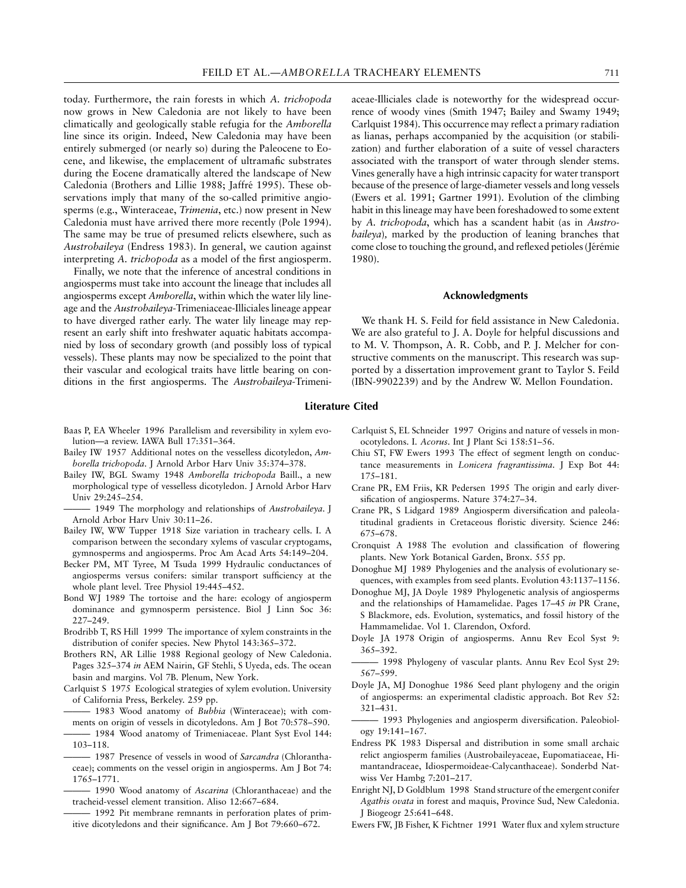today. Furthermore, the rain forests in which *A. trichopoda* now grows in New Caledonia are not likely to have been climatically and geologically stable refugia for the *Amborella* line since its origin. Indeed, New Caledonia may have been entirely submerged (or nearly so) during the Paleocene to Eocene, and likewise, the emplacement of ultramafic substrates during the Eocene dramatically altered the landscape of New Caledonia (Brothers and Lillie 1988; Jaffré 1995). These observations imply that many of the so-called primitive angiosperms (e.g., Winteraceae, *Trimenia*, etc.) now present in New Caledonia must have arrived there more recently (Pole 1994). The same may be true of presumed relicts elsewhere, such as *Austrobaileya* (Endress 1983). In general, we caution against interpreting *A. trichopoda* as a model of the first angiosperm.

Finally, we note that the inference of ancestral conditions in angiosperms must take into account the lineage that includes all angiosperms except *Amborella*, within which the water lily lineage and the *Austrobaileya*-Trimeniaceae-Illiciales lineage appear to have diverged rather early. The water lily lineage may represent an early shift into freshwater aquatic habitats accompanied by loss of secondary growth (and possibly loss of typical vessels). These plants may now be specialized to the point that their vascular and ecological traits have little bearing on conditions in the first angiosperms. The *Austrobaileya*-Trimeni-

- Baas P, EA Wheeler 1996 Parallelism and reversibility in xylem evolution—a review. IAWA Bull 17:351–364.
- Bailey IW 1957 Additional notes on the vesselless dicotyledon, *Amborella trichopoda*. J Arnold Arbor Harv Univ 35:374–378.
- Bailey IW, BGL Swamy 1948 *Amborella trichopoda* Baill., a new morphological type of vesselless dicotyledon. J Arnold Arbor Harv Univ 29:245–254.
- 1949 The morphology and relationships of *Austrobaileya*. J Arnold Arbor Harv Univ 30:11–26.
- Bailey IW, WW Tupper 1918 Size variation in tracheary cells. I. A comparison between the secondary xylems of vascular cryptogams, gymnosperms and angiosperms. Proc Am Acad Arts 54:149–204.
- Becker PM, MT Tyree, M Tsuda 1999 Hydraulic conductances of angiosperms versus conifers: similar transport sufficiency at the whole plant level. Tree Physiol 19:445–452.
- Bond WJ 1989 The tortoise and the hare: ecology of angiosperm dominance and gymnosperm persistence. Biol J Linn Soc 36: 227–249.
- Brodribb T, RS Hill 1999 The importance of xylem constraints in the distribution of conifer species. New Phytol 143:365–372.
- Brothers RN, AR Lillie 1988 Regional geology of New Caledonia. Pages 325–374 *in* AEM Nairin, GF Stehli, S Uyeda, eds. The ocean basin and margins. Vol 7B. Plenum, New York.
- Carlquist S 1975 Ecological strategies of xylem evolution. University of California Press, Berkeley. 259 pp.
- 1983 Wood anatomy of *Bubbia* (Winteraceae); with comments on origin of vessels in dicotyledons. Am J Bot 70:578–590.
- 1984 Wood anatomy of Trimeniaceae. Plant Syst Evol 144: 103–118.
- ——— 1987 Presence of vessels in wood of *Sarcandra* (Chloranthaceae); comments on the vessel origin in angiosperms. Am J Bot 74: 1765–1771.
- 1990 Wood anatomy of *Ascarina* (Chloranthaceae) and the tracheid-vessel element transition. Aliso 12:667–684.
- 1992 Pit membrane remnants in perforation plates of primitive dicotyledons and their significance. Am J Bot 79:660–672.

aceae-Illiciales clade is noteworthy for the widespread occurrence of woody vines (Smith 1947; Bailey and Swamy 1949; Carlquist 1984). This occurrence may reflect a primary radiation as lianas, perhaps accompanied by the acquisition (or stabilization) and further elaboration of a suite of vessel characters associated with the transport of water through slender stems. Vines generally have a high intrinsic capacity for water transport because of the presence of large-diameter vessels and long vessels (Ewers et al. 1991; Gartner 1991). Evolution of the climbing habit in this lineage may have been foreshadowed to some extent by *A. trichopoda*, which has a scandent habit (as in *Austrobaileya*)*,* marked by the production of leaning branches that come close to touching the ground, and reflexed petioles (Jérémie 1980).

### **Acknowledgments**

We thank H. S. Feild for field assistance in New Caledonia. We are also grateful to J. A. Doyle for helpful discussions and to M. V. Thompson, A. R. Cobb, and P. J. Melcher for constructive comments on the manuscript. This research was supported by a dissertation improvement grant to Taylor S. Feild (IBN-9902239) and by the Andrew W. Mellon Foundation.

#### **Literature Cited**

- Carlquist S, EL Schneider 1997 Origins and nature of vessels in monocotyledons. I. *Acorus*. Int J Plant Sci 158:51–56.
- Chiu ST, FW Ewers 1993 The effect of segment length on conductance measurements in *Lonicera fragrantissima*. J Exp Bot 44: 175–181.
- Crane PR, EM Friis, KR Pedersen 1995 The origin and early diversification of angiosperms. Nature 374:27–34.
- Crane PR, S Lidgard 1989 Angiosperm diversification and paleolatitudinal gradients in Cretaceous floristic diversity. Science 246: 675–678.
- Cronquist A 1988 The evolution and classification of flowering plants. New York Botanical Garden, Bronx. 555 pp.
- Donoghue MJ 1989 Phylogenies and the analysis of evolutionary sequences, with examples from seed plants. Evolution 43:1137–1156.
- Donoghue MJ, JA Doyle 1989 Phylogenetic analysis of angiosperms and the relationships of Hamamelidae. Pages 17–45 *in* PR Crane, S Blackmore, eds. Evolution, systematics, and fossil history of the Hammamelidae. Vol 1. Clarendon, Oxford.
- Doyle JA 1978 Origin of angiosperms. Annu Rev Ecol Syst 9: 365–392.
- ——— 1998 Phylogeny of vascular plants. Annu Rev Ecol Syst 29: 567–599.
- Doyle JA, MJ Donoghue 1986 Seed plant phylogeny and the origin of angiosperms: an experimental cladistic approach. Bot Rev 52: 321–431.
- 1993 Phylogenies and angiosperm diversification. Paleobiology 19:141–167.
- Endress PK 1983 Dispersal and distribution in some small archaic relict angiosperm families (Austrobaileyaceae, Eupomatiaceae, Himantandraceae, Idiospermoideae-Calycanthaceae). Sonderbd Natwiss Ver Hambg 7:201–217.
- Enright NJ, D Goldblum 1998 Stand structure of the emergent conifer *Agathis ovata* in forest and maquis, Province Sud, New Caledonia. J Biogeogr 25:641–648.
- Ewers FW, JB Fisher, K Fichtner 1991 Water flux and xylem structure